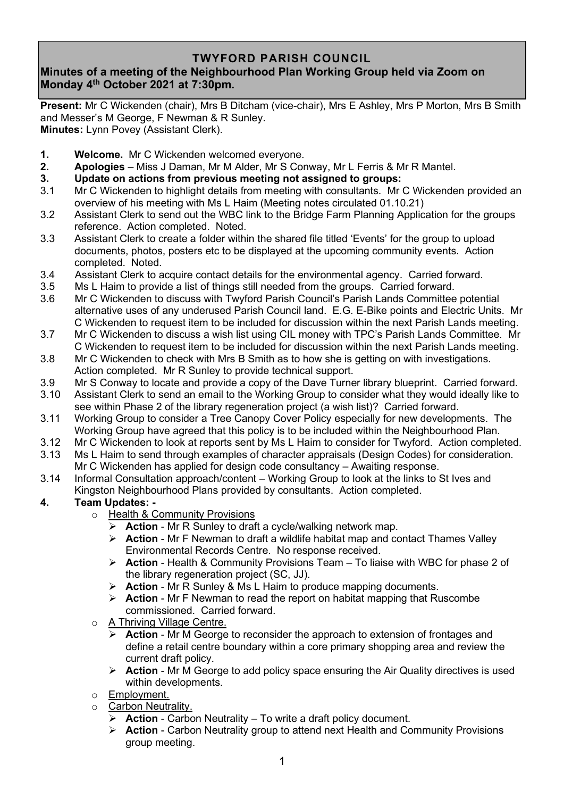# **TWYFORD PARISH COUNCIL**

# **Minutes of a meeting of the Neighbourhood Plan Working Group held via Zoom on Monday 4 th October 2021 at 7:30pm.**

**Present:** Mr C Wickenden (chair), Mrs B Ditcham (vice-chair), Mrs E Ashley, Mrs P Morton, Mrs B Smith and Messer's M George, F Newman & R Sunley. **Minutes:** Lynn Povey (Assistant Clerk).

- **1. Welcome.** Mr C Wickenden welcomed everyone.
- **2. Apologies** Miss J Daman, Mr M Alder, Mr S Conway, Mr L Ferris & Mr R Mantel.
- **3. Update on actions from previous meeting not assigned to groups:**
- 3.1 Mr C Wickenden to highlight details from meeting with consultants. Mr C Wickenden provided an overview of his meeting with Ms L Haim (Meeting notes circulated 01.10.21)
- 3.2 Assistant Clerk to send out the WBC link to the Bridge Farm Planning Application for the groups reference. Action completed. Noted.
- 3.3 Assistant Clerk to create a folder within the shared file titled 'Events' for the group to upload documents, photos, posters etc to be displayed at the upcoming community events. Action completed. Noted.
- 3.4 Assistant Clerk to acquire contact details for the environmental agency. Carried forward.
- 3.5 Ms L Haim to provide a list of things still needed from the groups. Carried forward.
- 3.6 Mr C Wickenden to discuss with Twyford Parish Council's Parish Lands Committee potential alternative uses of any underused Parish Council land. E.G. E-Bike points and Electric Units. Mr C Wickenden to request item to be included for discussion within the next Parish Lands meeting.
- 3.7 Mr C Wickenden to discuss a wish list using CIL money with TPC's Parish Lands Committee. Mr C Wickenden to request item to be included for discussion within the next Parish Lands meeting.
- 3.8 Mr C Wickenden to check with Mrs B Smith as to how she is getting on with investigations. Action completed. Mr R Sunley to provide technical support.
- 3.9 Mr S Conway to locate and provide a copy of the Dave Turner library blueprint. Carried forward.
- 3.10 Assistant Clerk to send an email to the Working Group to consider what they would ideally like to see within Phase 2 of the library regeneration project (a wish list)? Carried forward.
- 3.11 Working Group to consider a Tree Canopy Cover Policy especially for new developments. The Working Group have agreed that this policy is to be included within the Neighbourhood Plan.
- 3.12 Mr C Wickenden to look at reports sent by Ms L Haim to consider for Twyford. Action completed.
- 3.13 Ms L Haim to send through examples of character appraisals (Design Codes) for consideration. Mr C Wickenden has applied for design code consultancy – Awaiting response.
- 3.14 Informal Consultation approach/content Working Group to look at the links to St Ives and Kingston Neighbourhood Plans provided by consultants. Action completed.

## **4. Team Updates: -**

- o Health & Community Provisions
	- Action Mr R Sunley to draft a cycle/walking network map.
	- ➢ **Action** Mr F Newman to draft a wildlife habitat map and contact Thames Valley Environmental Records Centre. No response received.
	- ➢ **Action** Health & Community Provisions Team To liaise with WBC for phase 2 of the library regeneration project (SC, JJ).
	- ➢ **Action** Mr R Sunley & Ms L Haim to produce mapping documents.
	- ➢ **Action** Mr F Newman to read the report on habitat mapping that Ruscombe commissioned. Carried forward.
- o A Thriving Village Centre.
	- ➢ **Action** Mr M George to reconsider the approach to extension of frontages and define a retail centre boundary within a core primary shopping area and review the current draft policy.
	- ➢ **Action** Mr M George to add policy space ensuring the Air Quality directives is used within developments.
- o Employment.
- o Carbon Neutrality.
	- ➢ **Action** Carbon Neutrality To write a draft policy document.
	- ➢ **Action** Carbon Neutrality group to attend next Health and Community Provisions group meeting.